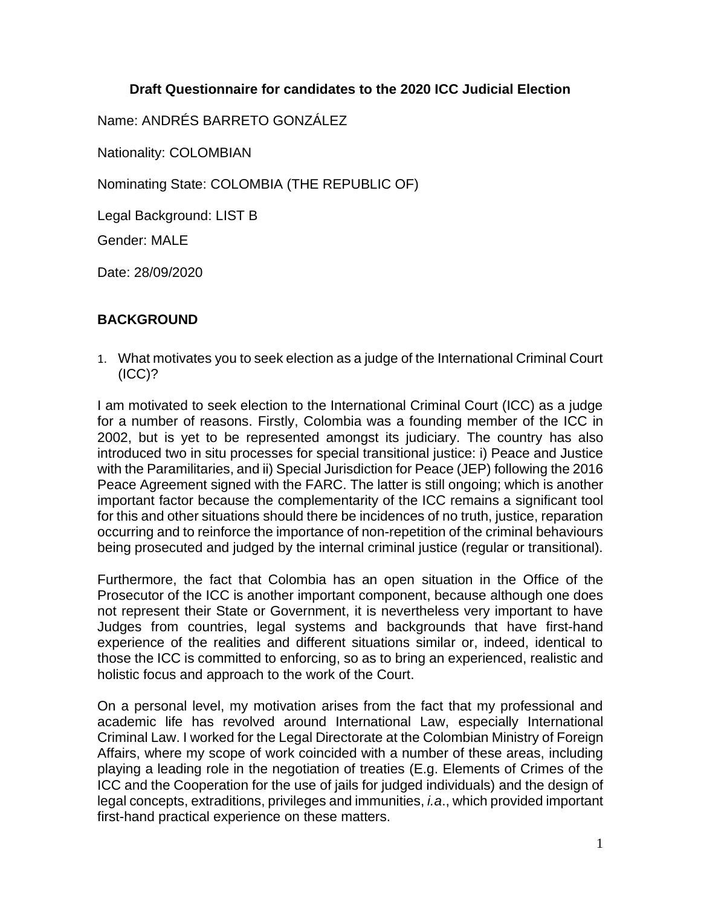### **Draft Questionnaire for candidates to the 2020 ICC Judicial Election**

Name: ANDRÉS BARRETO GONZÁLEZ

Nationality: COLOMBIAN

Nominating State: COLOMBIA (THE REPUBLIC OF)

Legal Background: LIST B

Gender: MALE

Date: 28/09/2020

### **BACKGROUND**

1. What motivates you to seek election as a judge of the International Criminal Court (ICC)?

I am motivated to seek election to the International Criminal Court (ICC) as a judge for a number of reasons. Firstly, Colombia was a founding member of the ICC in 2002, but is yet to be represented amongst its judiciary. The country has also introduced two in situ processes for special transitional justice: i) Peace and Justice with the Paramilitaries, and ii) Special Jurisdiction for Peace (JEP) following the 2016 Peace Agreement signed with the FARC. The latter is still ongoing; which is another important factor because the complementarity of the ICC remains a significant tool for this and other situations should there be incidences of no truth, justice, reparation occurring and to reinforce the importance of non-repetition of the criminal behaviours being prosecuted and judged by the internal criminal justice (regular or transitional).

Furthermore, the fact that Colombia has an open situation in the Office of the Prosecutor of the ICC is another important component, because although one does not represent their State or Government, it is nevertheless very important to have Judges from countries, legal systems and backgrounds that have first-hand experience of the realities and different situations similar or, indeed, identical to those the ICC is committed to enforcing, so as to bring an experienced, realistic and holistic focus and approach to the work of the Court.

On a personal level, my motivation arises from the fact that my professional and academic life has revolved around International Law, especially International Criminal Law. I worked for the Legal Directorate at the Colombian Ministry of Foreign Affairs, where my scope of work coincided with a number of these areas, including playing a leading role in the negotiation of treaties (E.g. Elements of Crimes of the ICC and the Cooperation for the use of jails for judged individuals) and the design of legal concepts, extraditions, privileges and immunities, *i.a*., which provided important first-hand practical experience on these matters.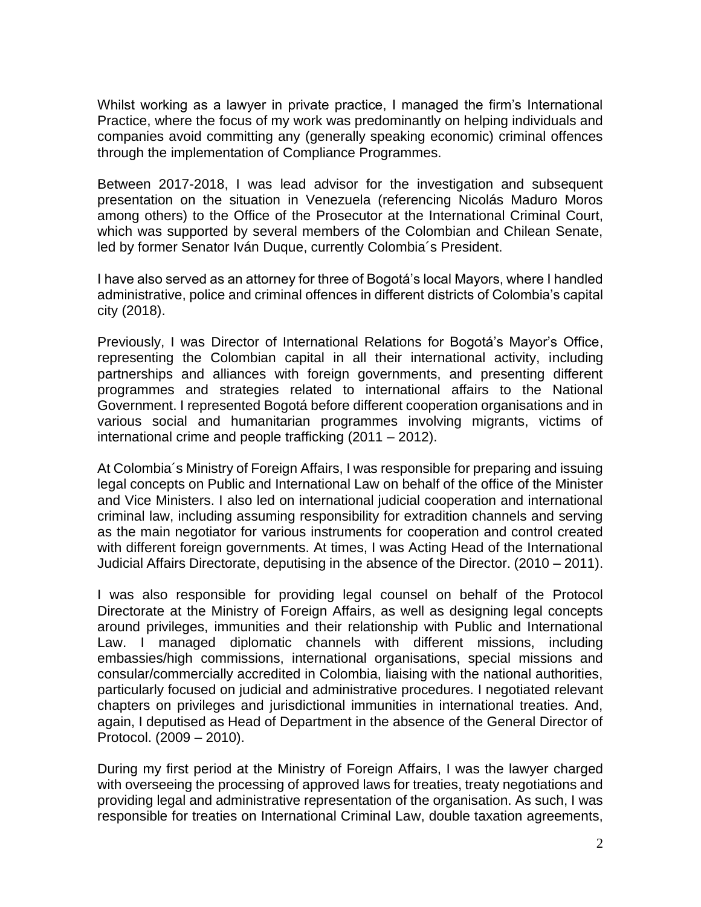Whilst working as a lawyer in private practice, I managed the firm's International Practice, where the focus of my work was predominantly on helping individuals and companies avoid committing any (generally speaking economic) criminal offences through the implementation of Compliance Programmes.

Between 2017-2018, I was lead advisor for the investigation and subsequent presentation on the situation in Venezuela (referencing Nicolás Maduro Moros among others) to the Office of the Prosecutor at the International Criminal Court, which was supported by several members of the Colombian and Chilean Senate, led by former Senator Iván Duque, currently Colombia´s President.

I have also served as an attorney for three of Bogotá's local Mayors, where I handled administrative, police and criminal offences in different districts of Colombia's capital city (2018).

Previously, I was Director of International Relations for Bogotá's Mayor's Office, representing the Colombian capital in all their international activity, including partnerships and alliances with foreign governments, and presenting different programmes and strategies related to international affairs to the National Government. I represented Bogotá before different cooperation organisations and in various social and humanitarian programmes involving migrants, victims of international crime and people trafficking (2011 – 2012).

At Colombia´s Ministry of Foreign Affairs, I was responsible for preparing and issuing legal concepts on Public and International Law on behalf of the office of the Minister and Vice Ministers. I also led on international judicial cooperation and international criminal law, including assuming responsibility for extradition channels and serving as the main negotiator for various instruments for cooperation and control created with different foreign governments. At times, I was Acting Head of the International Judicial Affairs Directorate, deputising in the absence of the Director. (2010 – 2011).

I was also responsible for providing legal counsel on behalf of the Protocol Directorate at the Ministry of Foreign Affairs, as well as designing legal concepts around privileges, immunities and their relationship with Public and International Law. I managed diplomatic channels with different missions, including embassies/high commissions, international organisations, special missions and consular/commercially accredited in Colombia, liaising with the national authorities, particularly focused on judicial and administrative procedures. I negotiated relevant chapters on privileges and jurisdictional immunities in international treaties. And, again, I deputised as Head of Department in the absence of the General Director of Protocol. (2009 – 2010).

During my first period at the Ministry of Foreign Affairs, I was the lawyer charged with overseeing the processing of approved laws for treaties, treaty negotiations and providing legal and administrative representation of the organisation. As such, I was responsible for treaties on International Criminal Law, double taxation agreements,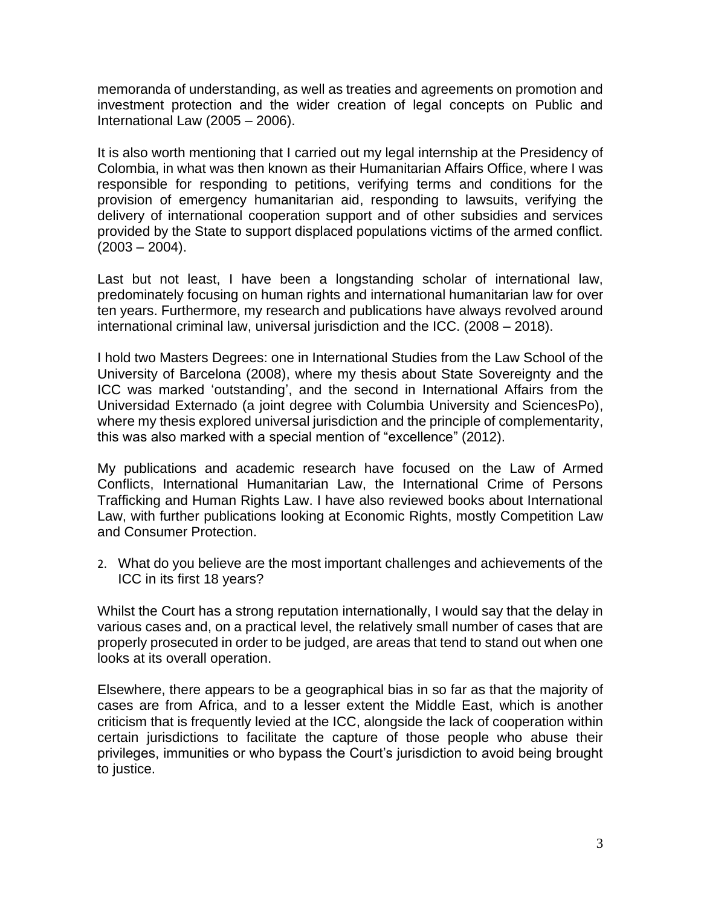memoranda of understanding, as well as treaties and agreements on promotion and investment protection and the wider creation of legal concepts on Public and International Law (2005 – 2006).

It is also worth mentioning that I carried out my legal internship at the Presidency of Colombia, in what was then known as their Humanitarian Affairs Office, where I was responsible for responding to petitions, verifying terms and conditions for the provision of emergency humanitarian aid, responding to lawsuits, verifying the delivery of international cooperation support and of other subsidies and services provided by the State to support displaced populations victims of the armed conflict.  $(2003 - 2004)$ .

Last but not least, I have been a longstanding scholar of international law, predominately focusing on human rights and international humanitarian law for over ten years. Furthermore, my research and publications have always revolved around international criminal law, universal jurisdiction and the ICC. (2008 – 2018).

I hold two Masters Degrees: one in International Studies from the Law School of the University of Barcelona (2008), where my thesis about State Sovereignty and the ICC was marked 'outstanding', and the second in International Affairs from the Universidad Externado (a joint degree with Columbia University and SciencesPo), where my thesis explored universal jurisdiction and the principle of complementarity, this was also marked with a special mention of "excellence" (2012).

My publications and academic research have focused on the Law of Armed Conflicts, International Humanitarian Law, the International Crime of Persons Trafficking and Human Rights Law. I have also reviewed books about International Law, with further publications looking at Economic Rights, mostly Competition Law and Consumer Protection.

2. What do you believe are the most important challenges and achievements of the ICC in its first 18 years?

Whilst the Court has a strong reputation internationally, I would say that the delay in various cases and, on a practical level, the relatively small number of cases that are properly prosecuted in order to be judged, are areas that tend to stand out when one looks at its overall operation.

Elsewhere, there appears to be a geographical bias in so far as that the majority of cases are from Africa, and to a lesser extent the Middle East, which is another criticism that is frequently levied at the ICC, alongside the lack of cooperation within certain jurisdictions to facilitate the capture of those people who abuse their privileges, immunities or who bypass the Court's jurisdiction to avoid being brought to justice.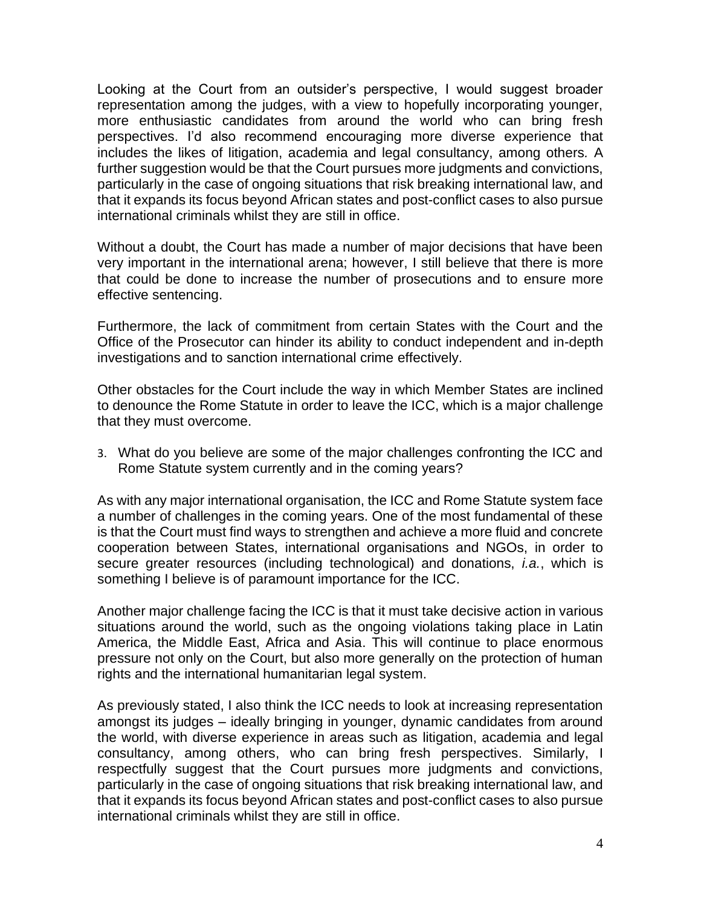Looking at the Court from an outsider's perspective, I would suggest broader representation among the judges, with a view to hopefully incorporating younger, more enthusiastic candidates from around the world who can bring fresh perspectives. I'd also recommend encouraging more diverse experience that includes the likes of litigation, academia and legal consultancy, among others*.* A further suggestion would be that the Court pursues more judgments and convictions, particularly in the case of ongoing situations that risk breaking international law, and that it expands its focus beyond African states and post-conflict cases to also pursue international criminals whilst they are still in office.

Without a doubt, the Court has made a number of major decisions that have been very important in the international arena; however, I still believe that there is more that could be done to increase the number of prosecutions and to ensure more effective sentencing.

Furthermore, the lack of commitment from certain States with the Court and the Office of the Prosecutor can hinder its ability to conduct independent and in-depth investigations and to sanction international crime effectively.

Other obstacles for the Court include the way in which Member States are inclined to denounce the Rome Statute in order to leave the ICC, which is a major challenge that they must overcome.

3. What do you believe are some of the major challenges confronting the ICC and Rome Statute system currently and in the coming years?

As with any major international organisation, the ICC and Rome Statute system face a number of challenges in the coming years. One of the most fundamental of these is that the Court must find ways to strengthen and achieve a more fluid and concrete cooperation between States, international organisations and NGOs, in order to secure greater resources (including technological) and donations, *i.a.*, which is something I believe is of paramount importance for the ICC.

Another major challenge facing the ICC is that it must take decisive action in various situations around the world, such as the ongoing violations taking place in Latin America, the Middle East, Africa and Asia. This will continue to place enormous pressure not only on the Court, but also more generally on the protection of human rights and the international humanitarian legal system.

As previously stated, I also think the ICC needs to look at increasing representation amongst its judges – ideally bringing in younger, dynamic candidates from around the world, with diverse experience in areas such as litigation, academia and legal consultancy, among others, who can bring fresh perspectives. Similarly, I respectfully suggest that the Court pursues more judgments and convictions, particularly in the case of ongoing situations that risk breaking international law, and that it expands its focus beyond African states and post-conflict cases to also pursue international criminals whilst they are still in office.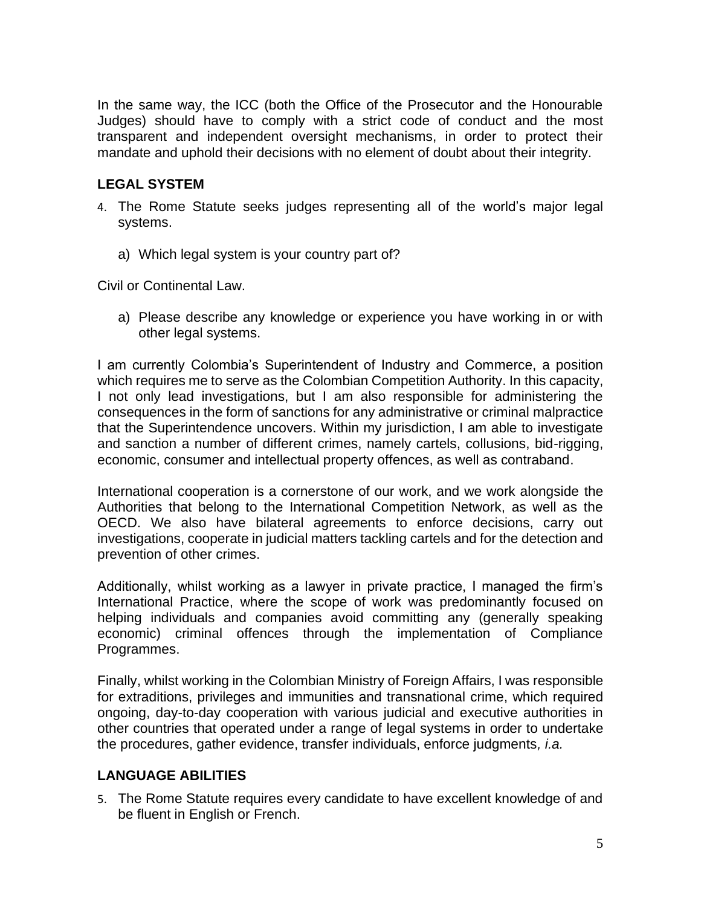In the same way, the ICC (both the Office of the Prosecutor and the Honourable Judges) should have to comply with a strict code of conduct and the most transparent and independent oversight mechanisms, in order to protect their mandate and uphold their decisions with no element of doubt about their integrity.

# **LEGAL SYSTEM**

- 4. The Rome Statute seeks judges representing all of the world's major legal systems.
	- a) Which legal system is your country part of?

Civil or Continental Law.

a) Please describe any knowledge or experience you have working in or with other legal systems.

I am currently Colombia's Superintendent of Industry and Commerce, a position which requires me to serve as the Colombian Competition Authority. In this capacity, I not only lead investigations, but I am also responsible for administering the consequences in the form of sanctions for any administrative or criminal malpractice that the Superintendence uncovers. Within my jurisdiction, I am able to investigate and sanction a number of different crimes, namely cartels, collusions, bid-rigging, economic, consumer and intellectual property offences, as well as contraband.

International cooperation is a cornerstone of our work, and we work alongside the Authorities that belong to the International Competition Network, as well as the OECD. We also have bilateral agreements to enforce decisions, carry out investigations, cooperate in judicial matters tackling cartels and for the detection and prevention of other crimes.

Additionally, whilst working as a lawyer in private practice, I managed the firm's International Practice, where the scope of work was predominantly focused on helping individuals and companies avoid committing any (generally speaking economic) criminal offences through the implementation of Compliance Programmes.

Finally, whilst working in the Colombian Ministry of Foreign Affairs, I was responsible for extraditions, privileges and immunities and transnational crime, which required ongoing, day-to-day cooperation with various judicial and executive authorities in other countries that operated under a range of legal systems in order to undertake the procedures, gather evidence, transfer individuals, enforce judgments*, i.a.*

### **LANGUAGE ABILITIES**

5. The Rome Statute requires every candidate to have excellent knowledge of and be fluent in English or French.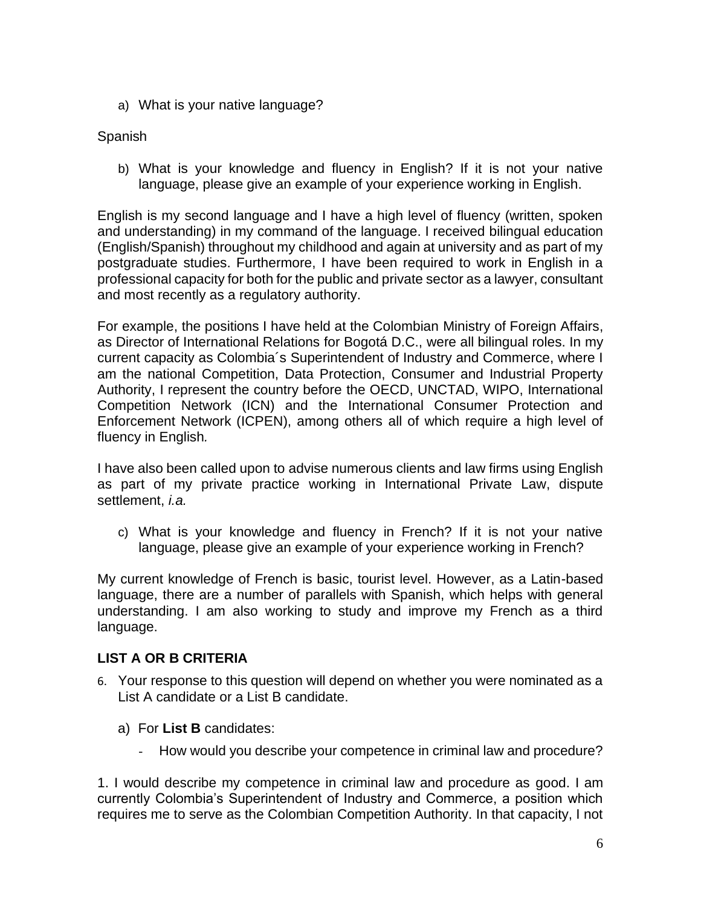a) What is your native language?

# Spanish

b) What is your knowledge and fluency in English? If it is not your native language, please give an example of your experience working in English.

English is my second language and I have a high level of fluency (written, spoken and understanding) in my command of the language. I received bilingual education (English/Spanish) throughout my childhood and again at university and as part of my postgraduate studies. Furthermore, I have been required to work in English in a professional capacity for both for the public and private sector as a lawyer, consultant and most recently as a regulatory authority.

For example, the positions I have held at the Colombian Ministry of Foreign Affairs, as Director of International Relations for Bogotá D.C., were all bilingual roles. In my current capacity as Colombia´s Superintendent of Industry and Commerce, where I am the national Competition, Data Protection, Consumer and Industrial Property Authority, I represent the country before the OECD, UNCTAD, WIPO, International Competition Network (ICN) and the International Consumer Protection and Enforcement Network (ICPEN), among others all of which require a high level of fluency in English*.*

I have also been called upon to advise numerous clients and law firms using English as part of my private practice working in International Private Law, dispute settlement, *i.a.*

c) What is your knowledge and fluency in French? If it is not your native language, please give an example of your experience working in French?

My current knowledge of French is basic, tourist level. However, as a Latin-based language, there are a number of parallels with Spanish, which helps with general understanding. I am also working to study and improve my French as a third language.

# **LIST A OR B CRITERIA**

- 6. Your response to this question will depend on whether you were nominated as a List A candidate or a List B candidate.
	- a) For **List B** candidates:
		- How would you describe your competence in criminal law and procedure?

1. I would describe my competence in criminal law and procedure as good. I am currently Colombia's Superintendent of Industry and Commerce, a position which requires me to serve as the Colombian Competition Authority. In that capacity, I not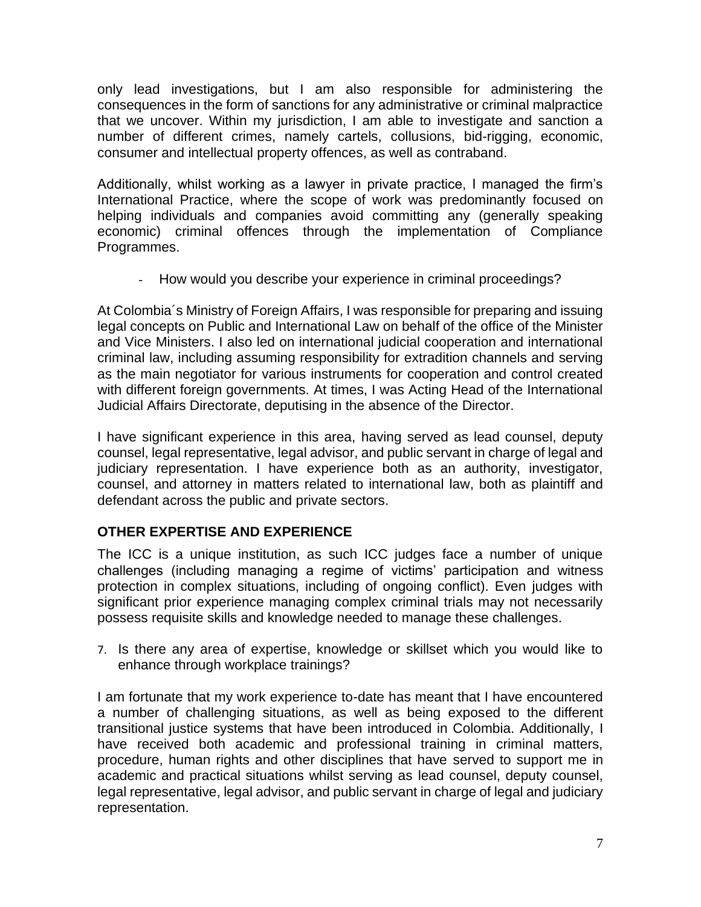only lead investigations, but I am also responsible for administering the consequences in the form of sanctions for any administrative or criminal malpractice that we uncover. Within my jurisdiction, I am able to investigate and sanction a number of different crimes, namely cartels, collusions, bid-rigging, economic, consumer and intellectual property offences, as well as contraband.

Additionally, whilst working as a lawyer in private practice, I managed the firm's International Practice, where the scope of work was predominantly focused on helping individuals and companies avoid committing any (generally speaking economic) criminal offences through the implementation of Compliance Programmes.

- How would you describe your experience in criminal proceedings?

At Colombia´s Ministry of Foreign Affairs, I was responsible for preparing and issuing legal concepts on Public and International Law on behalf of the office of the Minister and Vice Ministers. I also led on international judicial cooperation and international criminal law, including assuming responsibility for extradition channels and serving as the main negotiator for various instruments for cooperation and control created with different foreign governments. At times, I was Acting Head of the International Judicial Affairs Directorate, deputising in the absence of the Director.

I have significant experience in this area, having served as lead counsel, deputy counsel, legal representative, legal advisor, and public servant in charge of legal and judiciary representation. I have experience both as an authority, investigator, counsel, and attorney in matters related to international law, both as plaintiff and defendant across the public and private sectors.

# **OTHER EXPERTISE AND EXPERIENCE**

The ICC is a unique institution, as such ICC judges face a number of unique challenges (including managing a regime of victims' participation and witness protection in complex situations, including of ongoing conflict). Even judges with significant prior experience managing complex criminal trials may not necessarily possess requisite skills and knowledge needed to manage these challenges.

7. Is there any area of expertise, knowledge or skillset which you would like to enhance through workplace trainings?

I am fortunate that my work experience to-date has meant that I have encountered a number of challenging situations, as well as being exposed to the different transitional justice systems that have been introduced in Colombia. Additionally, I have received both academic and professional training in criminal matters, procedure, human rights and other disciplines that have served to support me in academic and practical situations whilst serving as lead counsel, deputy counsel, legal representative, legal advisor, and public servant in charge of legal and judiciary representation.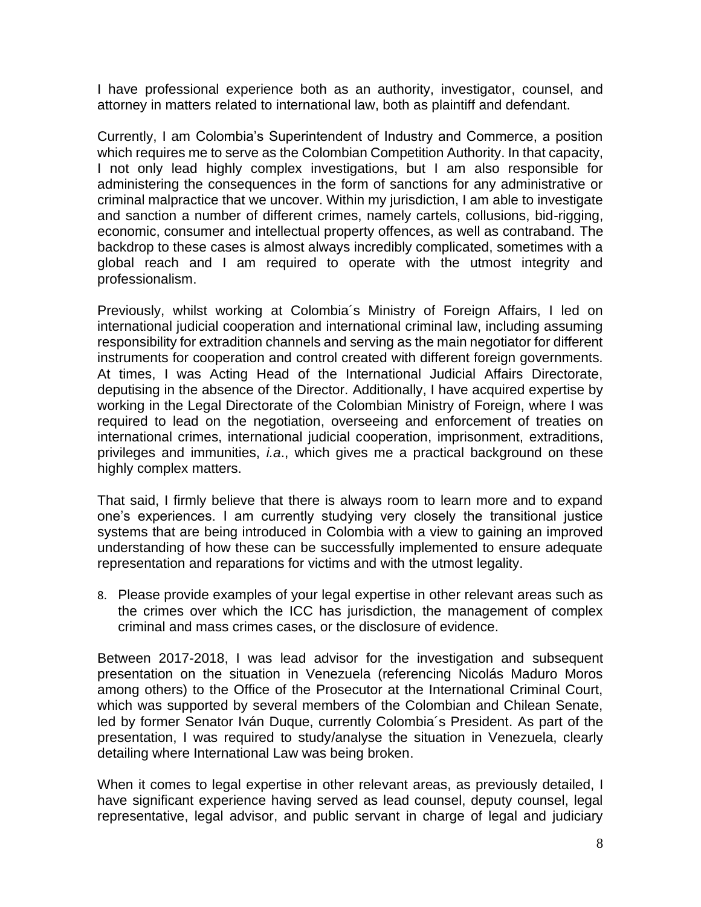I have professional experience both as an authority, investigator, counsel, and attorney in matters related to international law, both as plaintiff and defendant.

Currently, I am Colombia's Superintendent of Industry and Commerce, a position which requires me to serve as the Colombian Competition Authority. In that capacity, I not only lead highly complex investigations, but I am also responsible for administering the consequences in the form of sanctions for any administrative or criminal malpractice that we uncover. Within my jurisdiction, I am able to investigate and sanction a number of different crimes, namely cartels, collusions, bid-rigging, economic, consumer and intellectual property offences, as well as contraband. The backdrop to these cases is almost always incredibly complicated, sometimes with a global reach and I am required to operate with the utmost integrity and professionalism.

Previously, whilst working at Colombia´s Ministry of Foreign Affairs, I led on international judicial cooperation and international criminal law, including assuming responsibility for extradition channels and serving as the main negotiator for different instruments for cooperation and control created with different foreign governments. At times, I was Acting Head of the International Judicial Affairs Directorate, deputising in the absence of the Director. Additionally, I have acquired expertise by working in the Legal Directorate of the Colombian Ministry of Foreign, where I was required to lead on the negotiation, overseeing and enforcement of treaties on international crimes, international judicial cooperation, imprisonment, extraditions, privileges and immunities, *i.a*., which gives me a practical background on these highly complex matters.

That said, I firmly believe that there is always room to learn more and to expand one's experiences. I am currently studying very closely the transitional justice systems that are being introduced in Colombia with a view to gaining an improved understanding of how these can be successfully implemented to ensure adequate representation and reparations for victims and with the utmost legality.

8. Please provide examples of your legal expertise in other relevant areas such as the crimes over which the ICC has jurisdiction, the management of complex criminal and mass crimes cases, or the disclosure of evidence.

Between 2017-2018, I was lead advisor for the investigation and subsequent presentation on the situation in Venezuela (referencing Nicolás Maduro Moros among others) to the Office of the Prosecutor at the International Criminal Court, which was supported by several members of the Colombian and Chilean Senate, led by former Senator Iván Duque, currently Colombia´s President. As part of the presentation, I was required to study/analyse the situation in Venezuela, clearly detailing where International Law was being broken.

When it comes to legal expertise in other relevant areas, as previously detailed, I have significant experience having served as lead counsel, deputy counsel, legal representative, legal advisor, and public servant in charge of legal and judiciary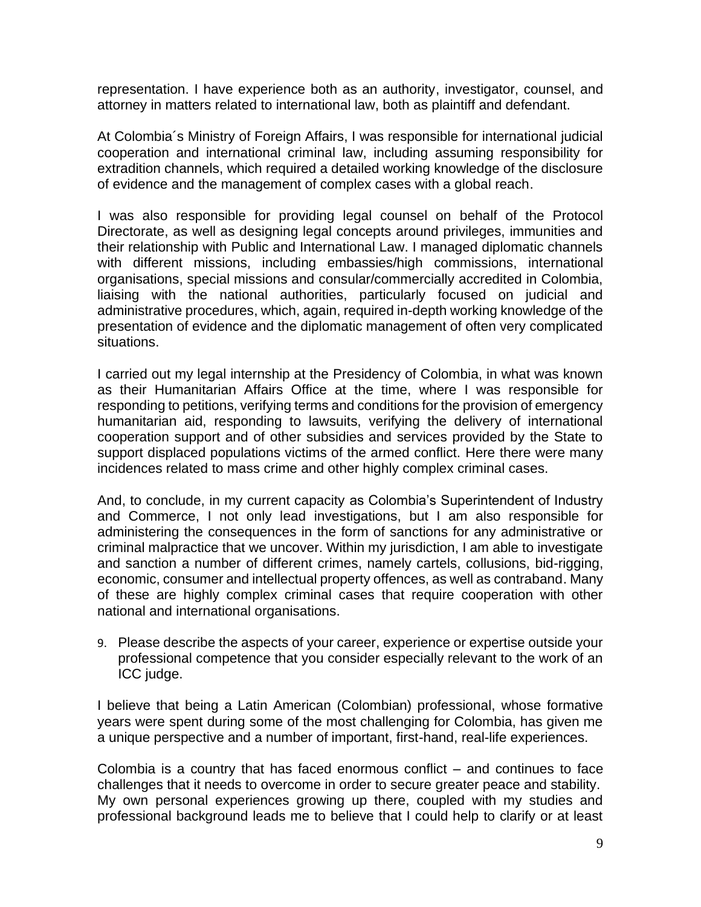representation. I have experience both as an authority, investigator, counsel, and attorney in matters related to international law, both as plaintiff and defendant.

At Colombia´s Ministry of Foreign Affairs, I was responsible for international judicial cooperation and international criminal law, including assuming responsibility for extradition channels, which required a detailed working knowledge of the disclosure of evidence and the management of complex cases with a global reach.

I was also responsible for providing legal counsel on behalf of the Protocol Directorate, as well as designing legal concepts around privileges, immunities and their relationship with Public and International Law. I managed diplomatic channels with different missions, including embassies/high commissions, international organisations, special missions and consular/commercially accredited in Colombia, liaising with the national authorities, particularly focused on judicial and administrative procedures, which, again, required in-depth working knowledge of the presentation of evidence and the diplomatic management of often very complicated situations.

I carried out my legal internship at the Presidency of Colombia, in what was known as their Humanitarian Affairs Office at the time, where I was responsible for responding to petitions, verifying terms and conditions for the provision of emergency humanitarian aid, responding to lawsuits, verifying the delivery of international cooperation support and of other subsidies and services provided by the State to support displaced populations victims of the armed conflict. Here there were many incidences related to mass crime and other highly complex criminal cases.

And, to conclude, in my current capacity as Colombia's Superintendent of Industry and Commerce, I not only lead investigations, but I am also responsible for administering the consequences in the form of sanctions for any administrative or criminal malpractice that we uncover. Within my jurisdiction, I am able to investigate and sanction a number of different crimes, namely cartels, collusions, bid-rigging, economic, consumer and intellectual property offences, as well as contraband. Many of these are highly complex criminal cases that require cooperation with other national and international organisations.

9. Please describe the aspects of your career, experience or expertise outside your professional competence that you consider especially relevant to the work of an ICC judge.

I believe that being a Latin American (Colombian) professional, whose formative years were spent during some of the most challenging for Colombia, has given me a unique perspective and a number of important, first-hand, real-life experiences.

Colombia is a country that has faced enormous conflict – and continues to face challenges that it needs to overcome in order to secure greater peace and stability. My own personal experiences growing up there, coupled with my studies and professional background leads me to believe that I could help to clarify or at least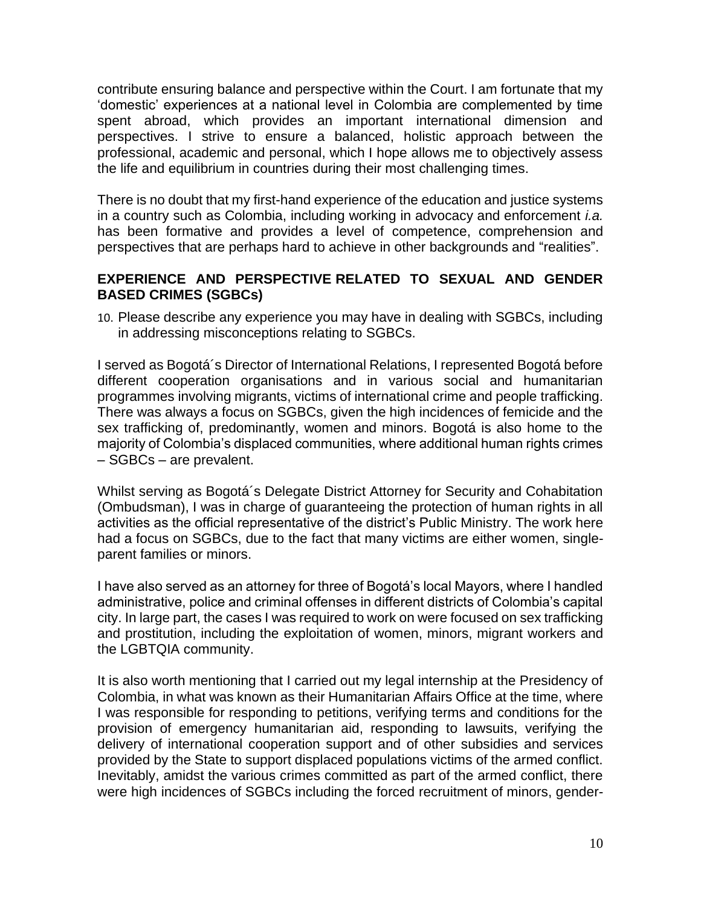contribute ensuring balance and perspective within the Court. I am fortunate that my 'domestic' experiences at a national level in Colombia are complemented by time spent abroad, which provides an important international dimension and perspectives. I strive to ensure a balanced, holistic approach between the professional, academic and personal, which I hope allows me to objectively assess the life and equilibrium in countries during their most challenging times.

There is no doubt that my first-hand experience of the education and justice systems in a country such as Colombia, including working in advocacy and enforcement *i.a.*  has been formative and provides a level of competence, comprehension and perspectives that are perhaps hard to achieve in other backgrounds and "realities".

### **EXPERIENCE AND PERSPECTIVE RELATED TO SEXUAL AND GENDER BASED CRIMES (SGBCs)**

10. Please describe any experience you may have in dealing with SGBCs, including in addressing misconceptions relating to SGBCs.

I served as Bogotá´s Director of International Relations, I represented Bogotá before different cooperation organisations and in various social and humanitarian programmes involving migrants, victims of international crime and people trafficking. There was always a focus on SGBCs, given the high incidences of femicide and the sex trafficking of, predominantly, women and minors. Bogotá is also home to the majority of Colombia's displaced communities, where additional human rights crimes – SGBCs – are prevalent.

Whilst serving as Bogotá´s Delegate District Attorney for Security and Cohabitation (Ombudsman), I was in charge of guaranteeing the protection of human rights in all activities as the official representative of the district's Public Ministry. The work here had a focus on SGBCs, due to the fact that many victims are either women, singleparent families or minors.

I have also served as an attorney for three of Bogotá's local Mayors, where I handled administrative, police and criminal offenses in different districts of Colombia's capital city. In large part, the cases I was required to work on were focused on sex trafficking and prostitution, including the exploitation of women, minors, migrant workers and the LGBTQIA community.

It is also worth mentioning that I carried out my legal internship at the Presidency of Colombia, in what was known as their Humanitarian Affairs Office at the time, where I was responsible for responding to petitions, verifying terms and conditions for the provision of emergency humanitarian aid, responding to lawsuits, verifying the delivery of international cooperation support and of other subsidies and services provided by the State to support displaced populations victims of the armed conflict. Inevitably, amidst the various crimes committed as part of the armed conflict, there were high incidences of SGBCs including the forced recruitment of minors, gender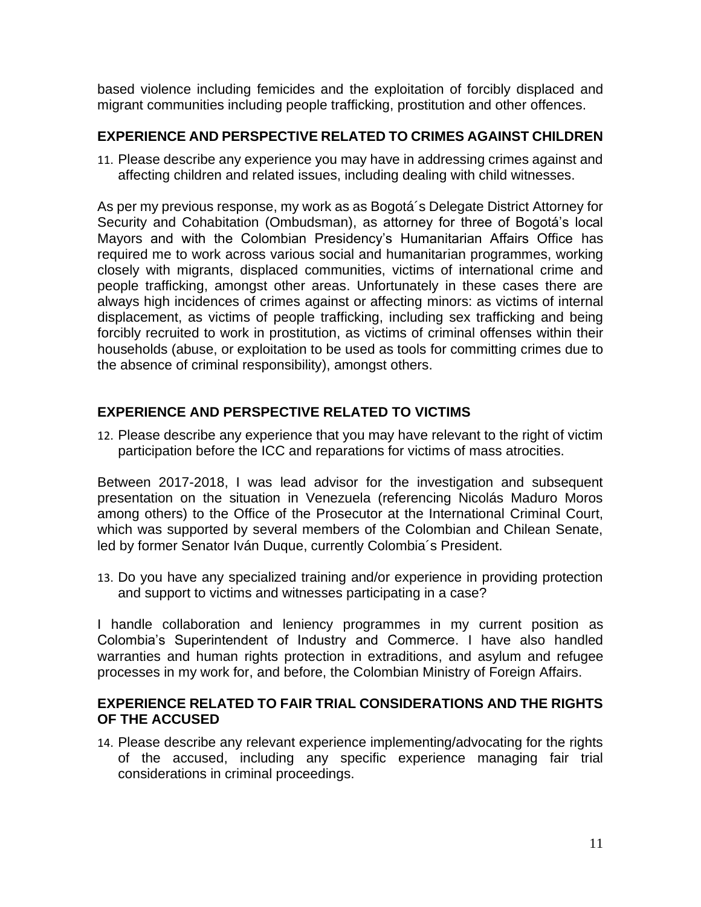based violence including femicides and the exploitation of forcibly displaced and migrant communities including people trafficking, prostitution and other offences.

# **EXPERIENCE AND PERSPECTIVE RELATED TO CRIMES AGAINST CHILDREN**

11. Please describe any experience you may have in addressing crimes against and affecting children and related issues, including dealing with child witnesses.

As per my previous response, my work as as Bogotá´s Delegate District Attorney for Security and Cohabitation (Ombudsman), as attorney for three of Bogotá's local Mayors and with the Colombian Presidency's Humanitarian Affairs Office has required me to work across various social and humanitarian programmes, working closely with migrants, displaced communities, victims of international crime and people trafficking, amongst other areas. Unfortunately in these cases there are always high incidences of crimes against or affecting minors: as victims of internal displacement, as victims of people trafficking, including sex trafficking and being forcibly recruited to work in prostitution, as victims of criminal offenses within their households (abuse, or exploitation to be used as tools for committing crimes due to the absence of criminal responsibility), amongst others.

# **EXPERIENCE AND PERSPECTIVE RELATED TO VICTIMS**

12. Please describe any experience that you may have relevant to the right of victim participation before the ICC and reparations for victims of mass atrocities.

Between 2017-2018, I was lead advisor for the investigation and subsequent presentation on the situation in Venezuela (referencing Nicolás Maduro Moros among others) to the Office of the Prosecutor at the International Criminal Court, which was supported by several members of the Colombian and Chilean Senate, led by former Senator Iván Duque, currently Colombia´s President.

13. Do you have any specialized training and/or experience in providing protection and support to victims and witnesses participating in a case?

I handle collaboration and leniency programmes in my current position as Colombia's Superintendent of Industry and Commerce. I have also handled warranties and human rights protection in extraditions, and asylum and refugee processes in my work for, and before, the Colombian Ministry of Foreign Affairs.

### **EXPERIENCE RELATED TO FAIR TRIAL CONSIDERATIONS AND THE RIGHTS OF THE ACCUSED**

14. Please describe any relevant experience implementing/advocating for the rights of the accused, including any specific experience managing fair trial considerations in criminal proceedings.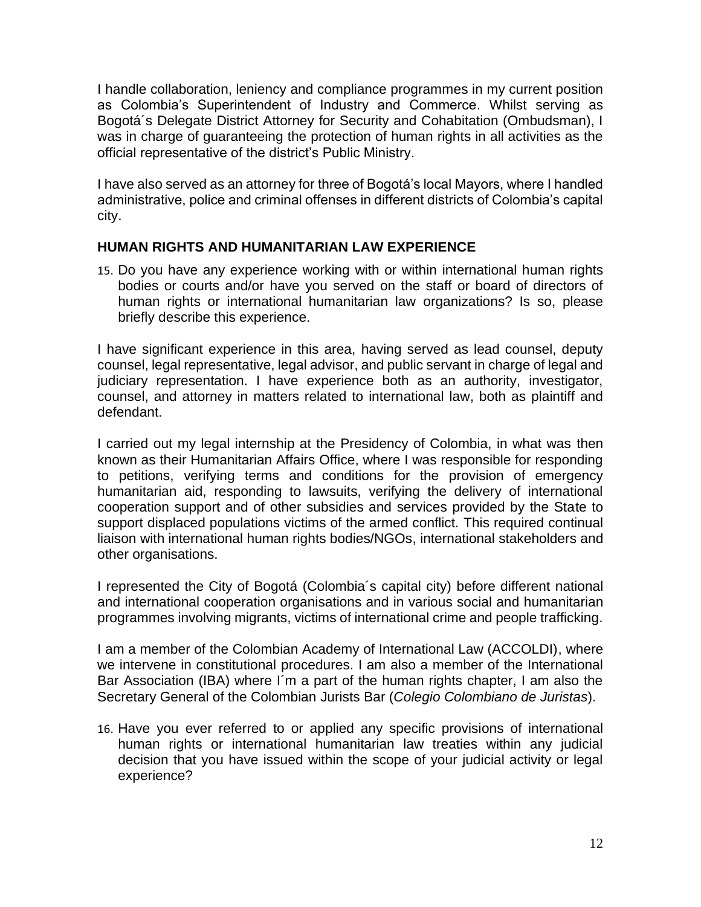I handle collaboration, leniency and compliance programmes in my current position as Colombia's Superintendent of Industry and Commerce. Whilst serving as Bogotá´s Delegate District Attorney for Security and Cohabitation (Ombudsman), I was in charge of guaranteeing the protection of human rights in all activities as the official representative of the district's Public Ministry.

I have also served as an attorney for three of Bogotá's local Mayors, where I handled administrative, police and criminal offenses in different districts of Colombia's capital city.

### **HUMAN RIGHTS AND HUMANITARIAN LAW EXPERIENCE**

15. Do you have any experience working with or within international human rights bodies or courts and/or have you served on the staff or board of directors of human rights or international humanitarian law organizations? Is so, please briefly describe this experience.

I have significant experience in this area, having served as lead counsel, deputy counsel, legal representative, legal advisor, and public servant in charge of legal and judiciary representation. I have experience both as an authority, investigator, counsel, and attorney in matters related to international law, both as plaintiff and defendant.

I carried out my legal internship at the Presidency of Colombia, in what was then known as their Humanitarian Affairs Office, where I was responsible for responding to petitions, verifying terms and conditions for the provision of emergency humanitarian aid, responding to lawsuits, verifying the delivery of international cooperation support and of other subsidies and services provided by the State to support displaced populations victims of the armed conflict. This required continual liaison with international human rights bodies/NGOs, international stakeholders and other organisations.

I represented the City of Bogotá (Colombia´s capital city) before different national and international cooperation organisations and in various social and humanitarian programmes involving migrants, victims of international crime and people trafficking.

I am a member of the Colombian Academy of International Law (ACCOLDI), where we intervene in constitutional procedures. I am also a member of the International Bar Association (IBA) where I´m a part of the human rights chapter, I am also the Secretary General of the Colombian Jurists Bar (*Colegio Colombiano de Juristas*).

16. Have you ever referred to or applied any specific provisions of international human rights or international humanitarian law treaties within any judicial decision that you have issued within the scope of your judicial activity or legal experience?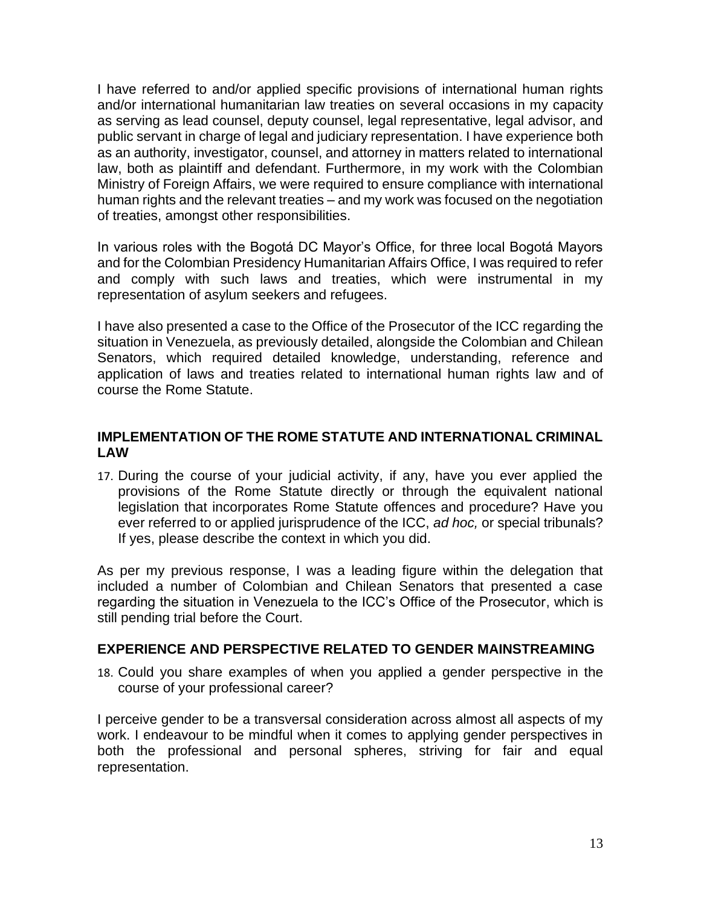I have referred to and/or applied specific provisions of international human rights and/or international humanitarian law treaties on several occasions in my capacity as serving as lead counsel, deputy counsel, legal representative, legal advisor, and public servant in charge of legal and judiciary representation. I have experience both as an authority, investigator, counsel, and attorney in matters related to international law, both as plaintiff and defendant. Furthermore, in my work with the Colombian Ministry of Foreign Affairs, we were required to ensure compliance with international human rights and the relevant treaties – and my work was focused on the negotiation of treaties, amongst other responsibilities.

In various roles with the Bogotá DC Mayor's Office, for three local Bogotá Mayors and for the Colombian Presidency Humanitarian Affairs Office, I was required to refer and comply with such laws and treaties, which were instrumental in my representation of asylum seekers and refugees.

I have also presented a case to the Office of the Prosecutor of the ICC regarding the situation in Venezuela, as previously detailed, alongside the Colombian and Chilean Senators, which required detailed knowledge, understanding, reference and application of laws and treaties related to international human rights law and of course the Rome Statute.

### **IMPLEMENTATION OF THE ROME STATUTE AND INTERNATIONAL CRIMINAL LAW**

17. During the course of your judicial activity, if any, have you ever applied the provisions of the Rome Statute directly or through the equivalent national legislation that incorporates Rome Statute offences and procedure? Have you ever referred to or applied jurisprudence of the ICC, *ad hoc,* or special tribunals? If yes, please describe the context in which you did.

As per my previous response, I was a leading figure within the delegation that included a number of Colombian and Chilean Senators that presented a case regarding the situation in Venezuela to the ICC's Office of the Prosecutor, which is still pending trial before the Court.

### **EXPERIENCE AND PERSPECTIVE RELATED TO GENDER MAINSTREAMING**

18. Could you share examples of when you applied a gender perspective in the course of your professional career?

I perceive gender to be a transversal consideration across almost all aspects of my work. I endeavour to be mindful when it comes to applying gender perspectives in both the professional and personal spheres, striving for fair and equal representation.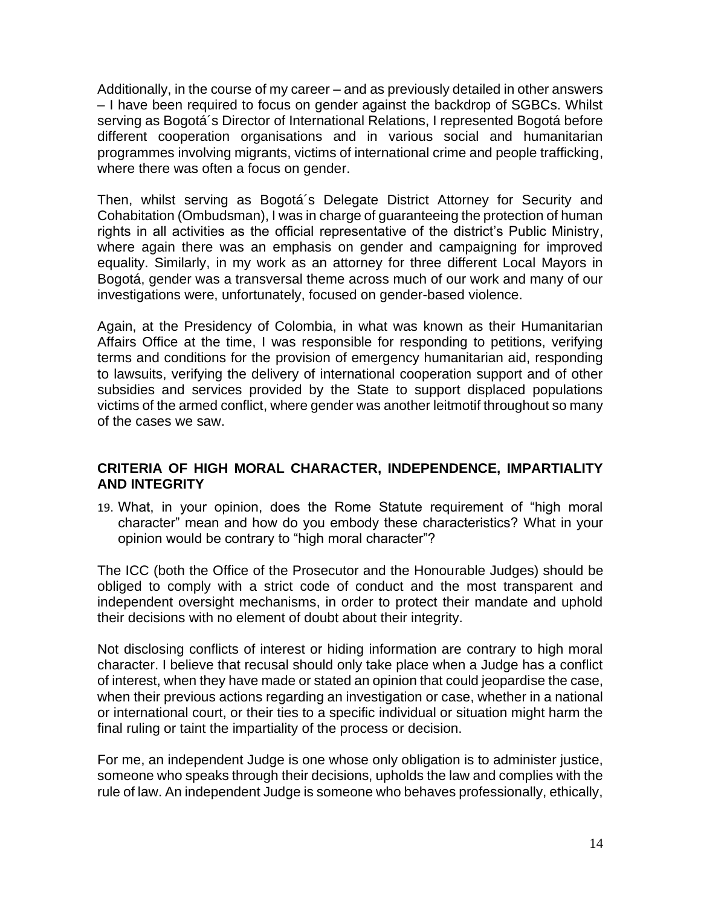Additionally, in the course of my career – and as previously detailed in other answers – I have been required to focus on gender against the backdrop of SGBCs. Whilst serving as Bogotá´s Director of International Relations, I represented Bogotá before different cooperation organisations and in various social and humanitarian programmes involving migrants, victims of international crime and people trafficking, where there was often a focus on gender.

Then, whilst serving as Bogotá´s Delegate District Attorney for Security and Cohabitation (Ombudsman), I was in charge of guaranteeing the protection of human rights in all activities as the official representative of the district's Public Ministry, where again there was an emphasis on gender and campaigning for improved equality. Similarly, in my work as an attorney for three different Local Mayors in Bogotá, gender was a transversal theme across much of our work and many of our investigations were, unfortunately, focused on gender-based violence.

Again, at the Presidency of Colombia, in what was known as their Humanitarian Affairs Office at the time, I was responsible for responding to petitions, verifying terms and conditions for the provision of emergency humanitarian aid, responding to lawsuits, verifying the delivery of international cooperation support and of other subsidies and services provided by the State to support displaced populations victims of the armed conflict, where gender was another leitmotif throughout so many of the cases we saw.

### **CRITERIA OF HIGH MORAL CHARACTER, INDEPENDENCE, IMPARTIALITY AND INTEGRITY**

19. What, in your opinion, does the Rome Statute requirement of "high moral character" mean and how do you embody these characteristics? What in your opinion would be contrary to "high moral character"?

The ICC (both the Office of the Prosecutor and the Honourable Judges) should be obliged to comply with a strict code of conduct and the most transparent and independent oversight mechanisms, in order to protect their mandate and uphold their decisions with no element of doubt about their integrity.

Not disclosing conflicts of interest or hiding information are contrary to high moral character. I believe that recusal should only take place when a Judge has a conflict of interest, when they have made or stated an opinion that could jeopardise the case, when their previous actions regarding an investigation or case, whether in a national or international court, or their ties to a specific individual or situation might harm the final ruling or taint the impartiality of the process or decision.

For me, an independent Judge is one whose only obligation is to administer justice, someone who speaks through their decisions, upholds the law and complies with the rule of law. An independent Judge is someone who behaves professionally, ethically,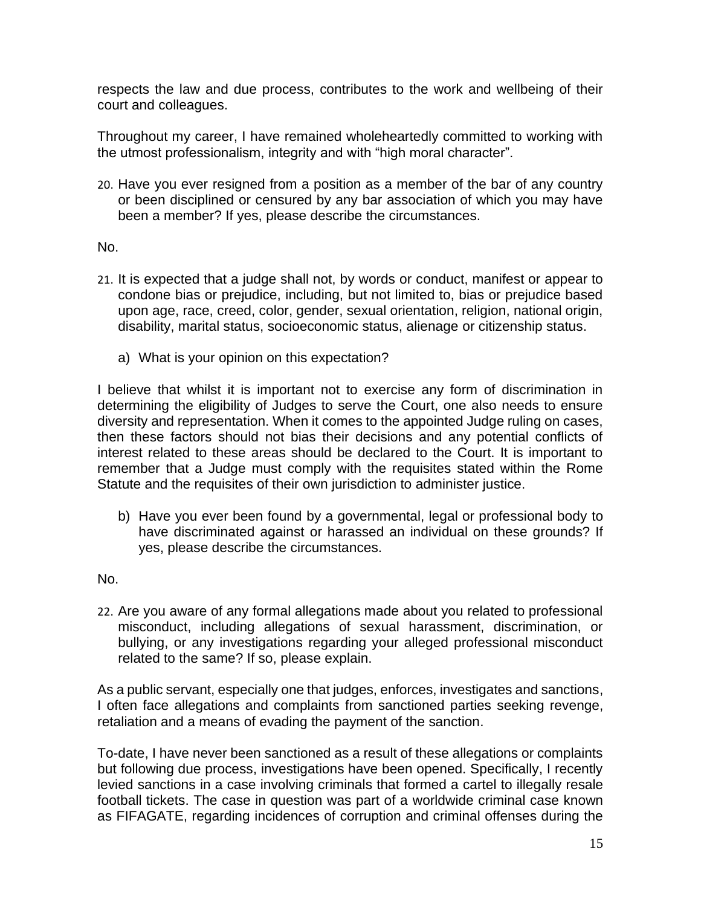respects the law and due process, contributes to the work and wellbeing of their court and colleagues.

Throughout my career, I have remained wholeheartedly committed to working with the utmost professionalism, integrity and with "high moral character".

20. Have you ever resigned from a position as a member of the bar of any country or been disciplined or censured by any bar association of which you may have been a member? If yes, please describe the circumstances.

### No.

- 21. It is expected that a judge shall not, by words or conduct, manifest or appear to condone bias or prejudice, including, but not limited to, bias or prejudice based upon age, race, creed, color, gender, sexual orientation, religion, national origin, disability, marital status, socioeconomic status, alienage or citizenship status.
	- a) What is your opinion on this expectation?

I believe that whilst it is important not to exercise any form of discrimination in determining the eligibility of Judges to serve the Court, one also needs to ensure diversity and representation. When it comes to the appointed Judge ruling on cases, then these factors should not bias their decisions and any potential conflicts of interest related to these areas should be declared to the Court. It is important to remember that a Judge must comply with the requisites stated within the Rome Statute and the requisites of their own jurisdiction to administer justice.

b) Have you ever been found by a governmental, legal or professional body to have discriminated against or harassed an individual on these grounds? If yes, please describe the circumstances.

### No.

22. Are you aware of any formal allegations made about you related to professional misconduct, including allegations of sexual harassment, discrimination, or bullying, or any investigations regarding your alleged professional misconduct related to the same? If so, please explain.

As a public servant, especially one that judges, enforces, investigates and sanctions, I often face allegations and complaints from sanctioned parties seeking revenge, retaliation and a means of evading the payment of the sanction.

To-date, I have never been sanctioned as a result of these allegations or complaints but following due process, investigations have been opened. Specifically, I recently levied sanctions in a case involving criminals that formed a cartel to illegally resale football tickets. The case in question was part of a worldwide criminal case known as FIFAGATE, regarding incidences of corruption and criminal offenses during the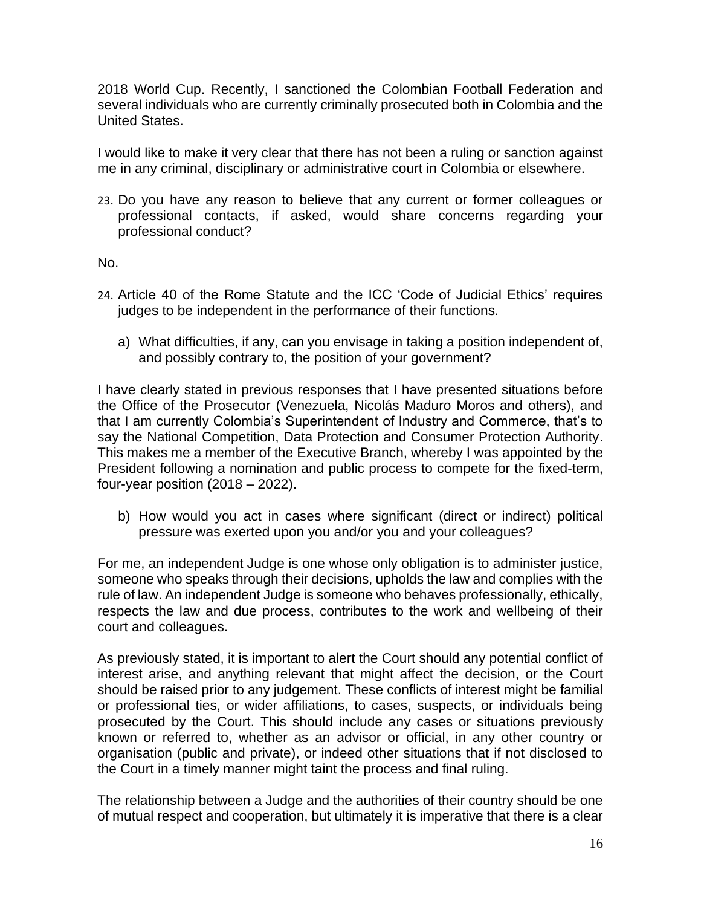2018 World Cup. Recently, I sanctioned the Colombian Football Federation and several individuals who are currently criminally prosecuted both in Colombia and the United States.

I would like to make it very clear that there has not been a ruling or sanction against me in any criminal, disciplinary or administrative court in Colombia or elsewhere.

23. Do you have any reason to believe that any current or former colleagues or professional contacts, if asked, would share concerns regarding your professional conduct?

No.

- 24. Article 40 of the Rome Statute and the ICC 'Code of Judicial Ethics' requires judges to be independent in the performance of their functions.
	- a) What difficulties, if any, can you envisage in taking a position independent of, and possibly contrary to, the position of your government?

I have clearly stated in previous responses that I have presented situations before the Office of the Prosecutor (Venezuela, Nicolás Maduro Moros and others), and that I am currently Colombia's Superintendent of Industry and Commerce, that's to say the National Competition, Data Protection and Consumer Protection Authority. This makes me a member of the Executive Branch, whereby I was appointed by the President following a nomination and public process to compete for the fixed-term, four-year position  $(2018 - 2022)$ .

b) How would you act in cases where significant (direct or indirect) political pressure was exerted upon you and/or you and your colleagues?

For me, an independent Judge is one whose only obligation is to administer justice, someone who speaks through their decisions, upholds the law and complies with the rule of law. An independent Judge is someone who behaves professionally, ethically, respects the law and due process, contributes to the work and wellbeing of their court and colleagues.

As previously stated, it is important to alert the Court should any potential conflict of interest arise, and anything relevant that might affect the decision, or the Court should be raised prior to any judgement. These conflicts of interest might be familial or professional ties, or wider affiliations, to cases, suspects, or individuals being prosecuted by the Court. This should include any cases or situations previously known or referred to, whether as an advisor or official, in any other country or organisation (public and private), or indeed other situations that if not disclosed to the Court in a timely manner might taint the process and final ruling.

The relationship between a Judge and the authorities of their country should be one of mutual respect and cooperation, but ultimately it is imperative that there is a clear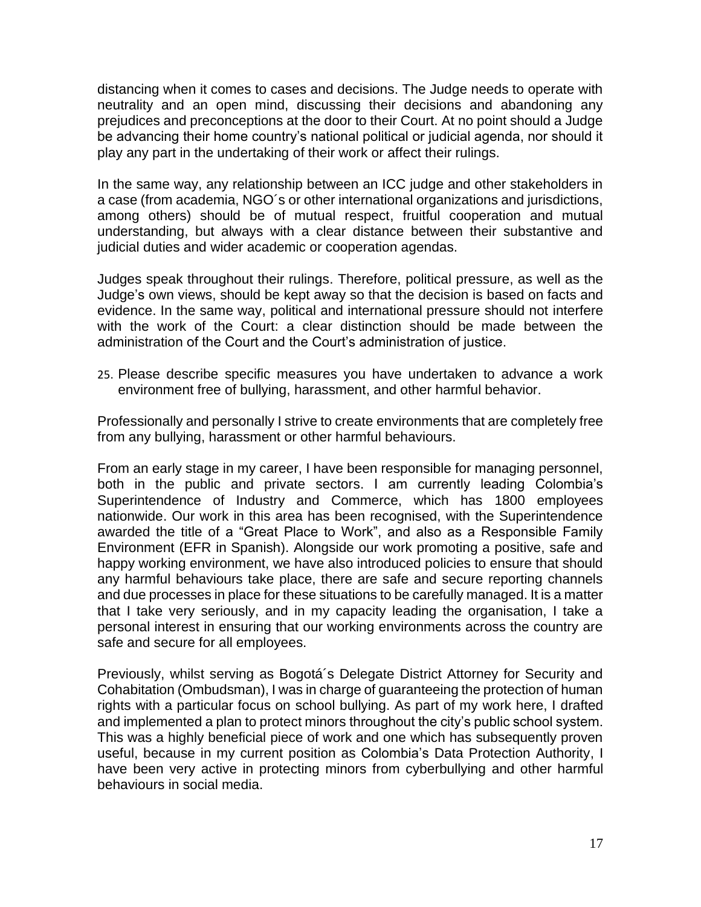distancing when it comes to cases and decisions. The Judge needs to operate with neutrality and an open mind, discussing their decisions and abandoning any prejudices and preconceptions at the door to their Court. At no point should a Judge be advancing their home country's national political or judicial agenda, nor should it play any part in the undertaking of their work or affect their rulings.

In the same way, any relationship between an ICC judge and other stakeholders in a case (from academia, NGO´s or other international organizations and jurisdictions, among others) should be of mutual respect, fruitful cooperation and mutual understanding, but always with a clear distance between their substantive and judicial duties and wider academic or cooperation agendas.

Judges speak throughout their rulings. Therefore, political pressure, as well as the Judge's own views, should be kept away so that the decision is based on facts and evidence. In the same way, political and international pressure should not interfere with the work of the Court: a clear distinction should be made between the administration of the Court and the Court's administration of justice.

25. Please describe specific measures you have undertaken to advance a work environment free of bullying, harassment, and other harmful behavior.

Professionally and personally I strive to create environments that are completely free from any bullying, harassment or other harmful behaviours.

From an early stage in my career, I have been responsible for managing personnel, both in the public and private sectors. I am currently leading Colombia's Superintendence of Industry and Commerce, which has 1800 employees nationwide. Our work in this area has been recognised, with the Superintendence awarded the title of a "Great Place to Work", and also as a Responsible Family Environment (EFR in Spanish). Alongside our work promoting a positive, safe and happy working environment, we have also introduced policies to ensure that should any harmful behaviours take place, there are safe and secure reporting channels and due processes in place for these situations to be carefully managed. It is a matter that I take very seriously, and in my capacity leading the organisation, I take a personal interest in ensuring that our working environments across the country are safe and secure for all employees.

Previously, whilst serving as Bogotá´s Delegate District Attorney for Security and Cohabitation (Ombudsman), I was in charge of guaranteeing the protection of human rights with a particular focus on school bullying. As part of my work here, I drafted and implemented a plan to protect minors throughout the city's public school system. This was a highly beneficial piece of work and one which has subsequently proven useful, because in my current position as Colombia's Data Protection Authority, I have been very active in protecting minors from cyberbullying and other harmful behaviours in social media.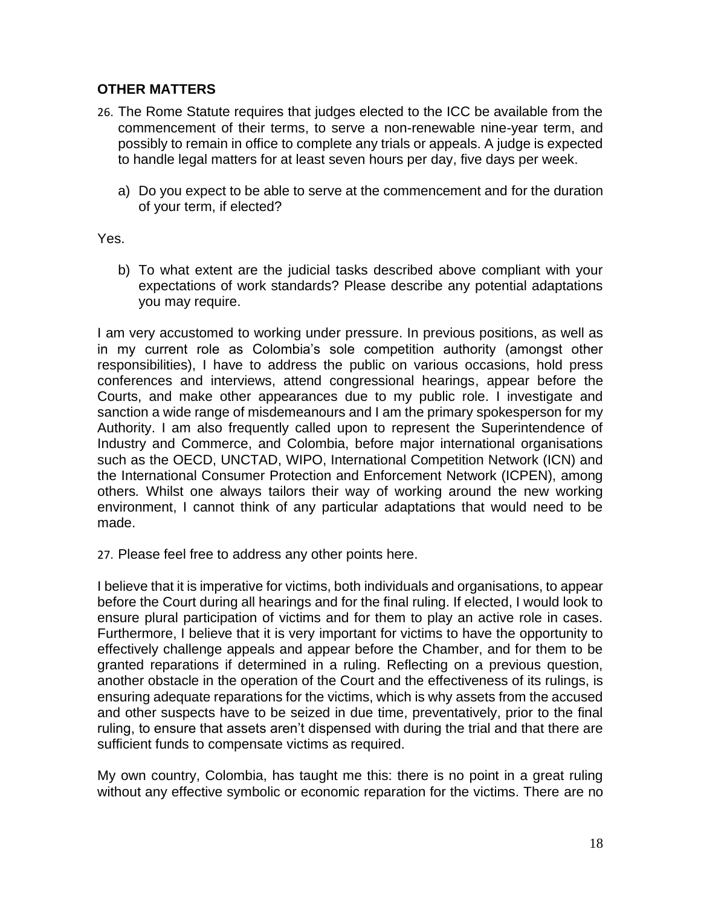# **OTHER MATTERS**

- 26. The Rome Statute requires that judges elected to the ICC be available from the commencement of their terms, to serve a non-renewable nine-year term, and possibly to remain in office to complete any trials or appeals. A judge is expected to handle legal matters for at least seven hours per day, five days per week.
	- a) Do you expect to be able to serve at the commencement and for the duration of your term, if elected?

Yes.

b) To what extent are the judicial tasks described above compliant with your expectations of work standards? Please describe any potential adaptations you may require.

I am very accustomed to working under pressure. In previous positions, as well as in my current role as Colombia's sole competition authority (amongst other responsibilities), I have to address the public on various occasions, hold press conferences and interviews, attend congressional hearings, appear before the Courts, and make other appearances due to my public role. I investigate and sanction a wide range of misdemeanours and I am the primary spokesperson for my Authority. I am also frequently called upon to represent the Superintendence of Industry and Commerce, and Colombia, before major international organisations such as the OECD, UNCTAD, WIPO, International Competition Network (ICN) and the International Consumer Protection and Enforcement Network (ICPEN), among others*.* Whilst one always tailors their way of working around the new working environment, I cannot think of any particular adaptations that would need to be made.

27. Please feel free to address any other points here.

I believe that it is imperative for victims, both individuals and organisations, to appear before the Court during all hearings and for the final ruling. If elected, I would look to ensure plural participation of victims and for them to play an active role in cases. Furthermore, I believe that it is very important for victims to have the opportunity to effectively challenge appeals and appear before the Chamber, and for them to be granted reparations if determined in a ruling. Reflecting on a previous question, another obstacle in the operation of the Court and the effectiveness of its rulings, is ensuring adequate reparations for the victims, which is why assets from the accused and other suspects have to be seized in due time, preventatively, prior to the final ruling, to ensure that assets aren't dispensed with during the trial and that there are sufficient funds to compensate victims as required.

My own country, Colombia, has taught me this: there is no point in a great ruling without any effective symbolic or economic reparation for the victims. There are no